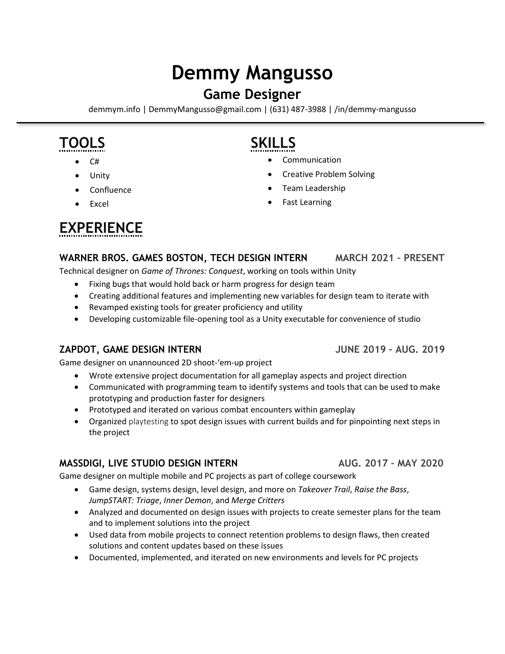# **Demmy Mangusso**

## **Game Designer**

demmym.info | DemmyMangusso@gmail.com | (631) 487-3988 | /in/demmy-mangusso

## **TOOLS SKILLS**

- 
- 
- 
- 

- C# Communication
- Unity  **Creative Problem Solving**
- Confluence Team Leadership
- Excel Fast Learning

## **EXPERIENCE**

### **WARNER BROS. GAMES BOSTON, TECH DESIGN INTERN MARCH 2021 – PRESENT**

Technical designer on *Game of Thrones: Conquest*, working on tools within Unity

- Fixing bugs that would hold back or harm progress for design team
- Creating additional features and implementing new variables for design team to iterate with
- Revamped existing tools for greater proficiency and utility
- Developing customizable file-opening tool as a Unity executable for convenience of studio

### **ZAPDOT, GAME DESIGN INTERN JUNE 2019 – AUG. 2019**

Game designer on unannounced 2D shoot-'em-up project

- Wrote extensive project documentation for all gameplay aspects and project direction
- Communicated with programming team to identify systems and tools that can be used to make prototyping and production faster for designers
- Prototyped and iterated on various combat encounters within gameplay
- Organized playtesting to spot design issues with current builds and for pinpointing next steps in the project

### **MASSDIGI, LIVE STUDIO DESIGN INTERN AUG. 2017 – MAY 2020**

Game designer on multiple mobile and PC projects as part of college coursework

- Game design, systems design, level design, and more on *Takeover Trail*, *Raise the Bass*, *JumpSTART: Triage*, *Inner Demon*, and *Merge Critters*
- Analyzed and documented on design issues with projects to create semester plans for the team and to implement solutions into the project
- Used data from mobile projects to connect retention problems to design flaws, then created solutions and content updates based on these issues
- Documented, implemented, and iterated on new environments and levels for PC projects